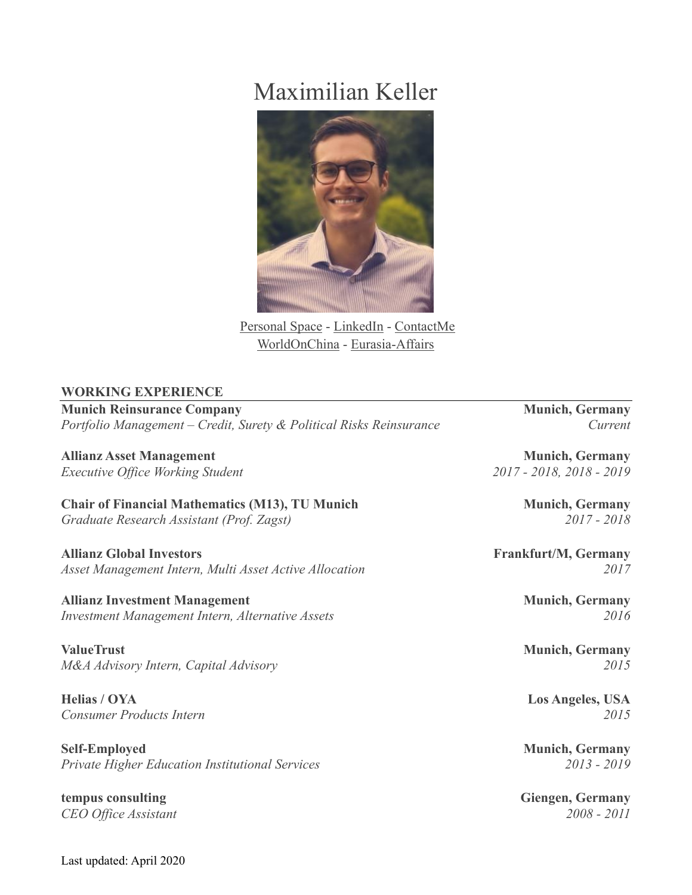# Maximilian Keller



[Personal Space](http://www.maximiliankeller.info/) - [LinkedIn](https://www.linkedin.com/in/econmaximiliankeller/) - [ContactMe](mailto:maximiliankeller@outlook.com) [WorldOnChina](http://www.worldonchina.com/) - [Eurasia-Affairs](http://www.eurasia-affairs.com/)

## **WORKING EXPERIENCE**

**Munich Reinsurance Company Munich, Germany** *Portfolio Management – Credit, Surety & Political Risks Reinsurance Current*

**Allianz Asset Management** Munich, Germany

**Chair of Financial Mathematics (M13), TU Munich Munich, Germany** *Graduate Research Assistant (Prof. Zagst) 2017 - 2018*

**Allianz Global Investors Frankfurt/M, Germany** *Asset Management Intern, Multi Asset Active Allocation 2017*

**Allianz Investment Management Munich, Germany** *Investment Management Intern, Alternative Assets 2016*

**ValueTrust Munich, Germany** *M&A Advisory Intern, Capital Advisory 2015*

**Helias / OYA Los Angeles, USA** *Consumer Products Intern 2015*

**Self-Employed Munich, Germany** *Private Higher Education Institutional Services 2013 - 2019*

**tempus consulting Giengen, Germany** *CEO Office Assistant 2008 - 2011*

*Executive Office Working Student 2017 - 2018, 2018 - 2019*

Last updated: April 2020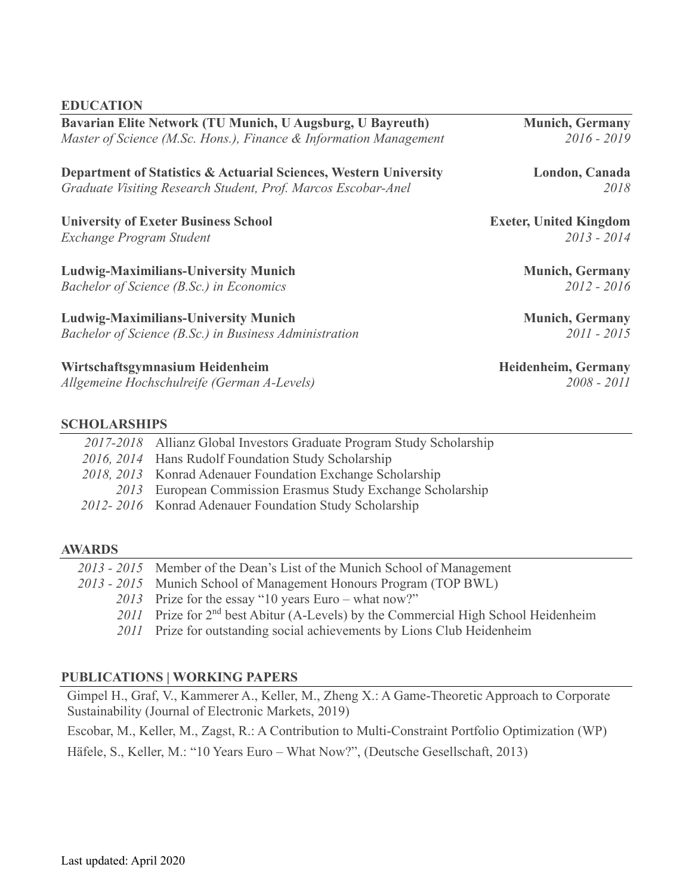Last updated: April 2020

#### **EDUCATION**

| <b>Department of Statistics &amp; Actuarial Sciences, Western University</b> | London, Canada                |
|------------------------------------------------------------------------------|-------------------------------|
| Graduate Visiting Research Student, Prof. Marcos Escobar-Anel                | 2018                          |
| <b>University of Exeter Business School</b>                                  | <b>Exeter, United Kingdom</b> |
| Exchange Program Student                                                     | $2013 - 2014$                 |
| <b>Ludwig-Maximilians-University Munich</b>                                  | <b>Munich, Germany</b>        |
| Bachelor of Science (B.Sc.) in Economics                                     | $2012 - 2016$                 |
| <b>Ludwig-Maximilians-University Munich</b>                                  | <b>Munich, Germany</b>        |
| Bachelor of Science (B.Sc.) in Business Administration                       | 2011 - 2015                   |

**Wirtschaftsgymnasium Heidenheim Heidenheim, Germany**

*Allgemeine Hochschulreife (German A-Levels) 2008 - 2011*

#### **SCHOLARSHIPS**

| 2017-2018 Allianz Global Investors Graduate Program Study Scholarship |
|-----------------------------------------------------------------------|
| 2016, 2014 Hans Rudolf Foundation Study Scholarship                   |
| 2018, 2013 Konrad Adenauer Foundation Exchange Scholarship            |
| 2013 European Commission Erasmus Study Exchange Scholarship           |
| 2012-2016 Konrad Adenauer Foundation Study Scholarship                |

### **AWARDS**

| 2013 - 2015 Member of the Dean's List of the Munich School of Management             |
|--------------------------------------------------------------------------------------|
| 2013 - 2015 Munich School of Management Honours Program (TOP BWL)                    |
| 2013 Prize for the essay "10 years Euro – what now?"                                 |
| 2011 Prize for $2nd$ best Abitur (A-Levels) by the Commercial High School Heidenheim |
| 2011 Prize for outstanding social achievements by Lions Club Heidenheim              |
|                                                                                      |

## **PUBLICATIONS | WORKING PAPERS**

Gimpel H., Graf, V., Kammerer A., Keller, M., Zheng X.: A Game-Theoretic Approach to Corporate Sustainability (Journal of Electronic Markets, 2019)

Escobar, M., Keller, M., Zagst, R.: A Contribution to Multi-Constraint Portfolio Optimization (WP)

Häfele, S., Keller, M.: "10 Years Euro – What Now?", (Deutsche Gesellschaft, 2013)

**Bavarian Elite Network (TU Munich, U Augsburg, U Bayreuth) Munich, Germany** *Master of Science (M.Sc. Hons.), Finance & Information Management 2016 - 2019*

**Department of Statistics & Actuarial Sciences, Western University London, Canada**